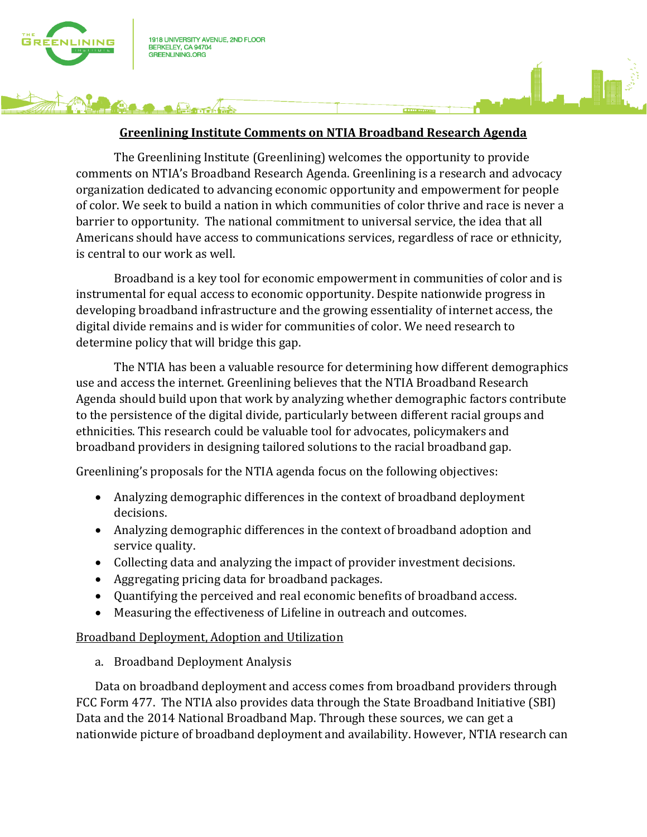

 $\sqrt{12}$ 

## **Greenlining Institute Comments on NTIA Broadband Research Agenda**

The Greenlining Institute (Greenlining) welcomes the opportunity to provide comments on NTIA's Broadband Research Agenda. Greenlining is a research and advocacy organization dedicated to advancing economic opportunity and empowerment for people of color. We seek to build a nation in which communities of color thrive and race is never a barrier to opportunity. The national commitment to universal service, the idea that all Americans should have access to communications services, regardless of race or ethnicity, is central to our work as well.

Broadband is a key tool for economic empowerment in communities of color and is instrumental for equal access to economic opportunity. Despite nationwide progress in developing broadband infrastructure and the growing essentiality of internet access, the digital divide remains and is wider for communities of color. We need research to determine policy that will bridge this gap.

The NTIA has been a valuable resource for determining how different demographics use and access the internet. Greenlining believes that the NTIA Broadband Research Agenda should build upon that work by analyzing whether demographic factors contribute to the persistence of the digital divide, particularly between different racial groups and ethnicities. This research could be valuable tool for advocates, policymakers and broadband providers in designing tailored solutions to the racial broadband gap.

Greenlining's proposals for the NTIA agenda focus on the following objectives:

- Analyzing demographic differences in the context of broadband deployment decisions.
- Analyzing demographic differences in the context of broadband adoption and service quality.
- Collecting data and analyzing the impact of provider investment decisions.
- Aggregating pricing data for broadband packages.
- Quantifying the perceived and real economic benefits of broadband access.
- Measuring the effectiveness of Lifeline in outreach and outcomes.

### Broadband Deployment, Adoption and Utilization

a. Broadband Deployment Analysis

Data on broadband deployment and access comes from broadband providers through FCC Form 477. The NTIA also provides data through the State Broadband Initiative (SBI) Data and the 2014 National Broadband Map. Through these sources, we can get a nationwide picture of broadband deployment and availability. However, NTIA research can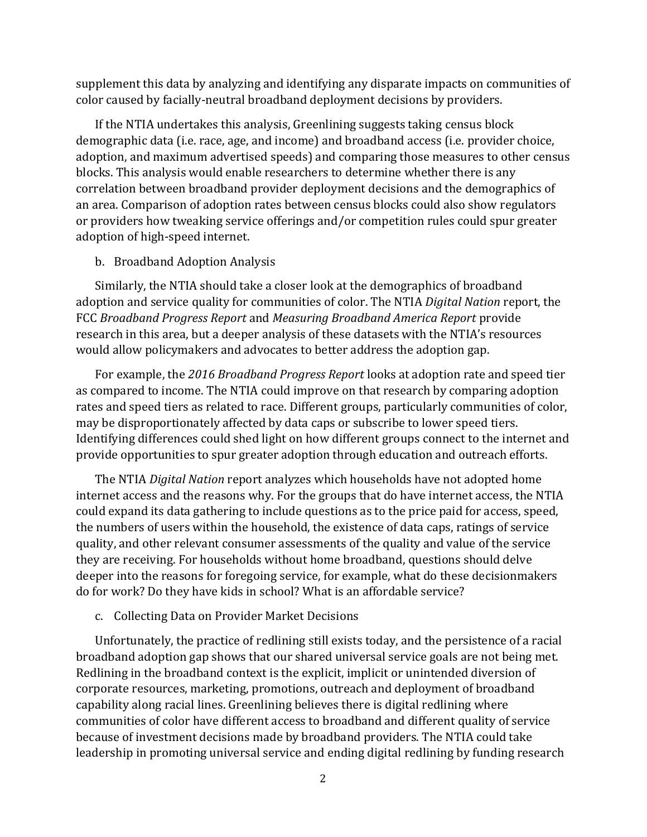supplement this data by analyzing and identifying any disparate impacts on communities of color caused by facially-neutral broadband deployment decisions by providers.

If the NTIA undertakes this analysis, Greenlining suggests taking census block demographic data (i.e. race, age, and income) and broadband access (i.e. provider choice, adoption, and maximum advertised speeds) and comparing those measures to other census blocks. This analysis would enable researchers to determine whether there is any correlation between broadband provider deployment decisions and the demographics of an area. Comparison of adoption rates between census blocks could also show regulators or providers how tweaking service offerings and/or competition rules could spur greater adoption of high-speed internet.

### b. Broadband Adoption Analysis

Similarly, the NTIA should take a closer look at the demographics of broadband adoption and service quality for communities of color. The NTIA *Digital Nation* report, the FCC *Broadband Progress Report* and *Measuring Broadband America Report* provide research in this area, but a deeper analysis of these datasets with the NTIA's resources would allow policymakers and advocates to better address the adoption gap.

For example, the *2016 Broadband Progress Report* looks at adoption rate and speed tier as compared to income. The NTIA could improve on that research by comparing adoption rates and speed tiers as related to race. Different groups, particularly communities of color, may be disproportionately affected by data caps or subscribe to lower speed tiers. Identifying differences could shed light on how different groups connect to the internet and provide opportunities to spur greater adoption through education and outreach efforts.

The NTIA *Digital Nation* report analyzes which households have not adopted home internet access and the reasons why. For the groups that do have internet access, the NTIA could expand its data gathering to include questions as to the price paid for access, speed, the numbers of users within the household, the existence of data caps, ratings of service quality, and other relevant consumer assessments of the quality and value of the service they are receiving. For households without home broadband, questions should delve deeper into the reasons for foregoing service, for example, what do these decisionmakers do for work? Do they have kids in school? What is an affordable service?

### c. Collecting Data on Provider Market Decisions

Unfortunately, the practice of redlining still exists today, and the persistence of a racial broadband adoption gap shows that our shared universal service goals are not being met. Redlining in the broadband context is the explicit, implicit or unintended diversion of corporate resources, marketing, promotions, outreach and deployment of broadband capability along racial lines. Greenlining believes there is digital redlining where communities of color have different access to broadband and different quality of service because of investment decisions made by broadband providers. The NTIA could take leadership in promoting universal service and ending digital redlining by funding research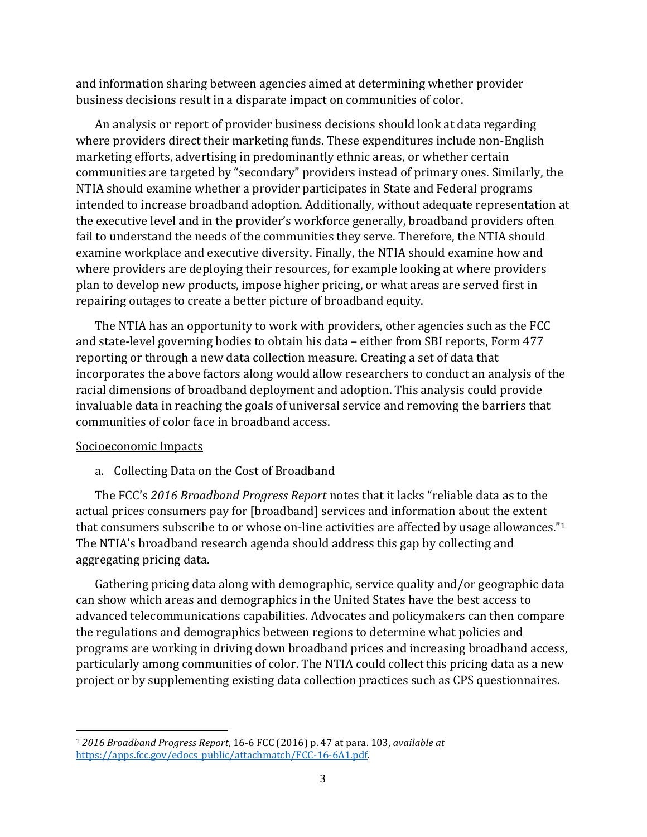and information sharing between agencies aimed at determining whether provider business decisions result in a disparate impact on communities of color.

An analysis or report of provider business decisions should look at data regarding where providers direct their marketing funds. These expenditures include non-English marketing efforts, advertising in predominantly ethnic areas, or whether certain communities are targeted by "secondary" providers instead of primary ones. Similarly, the NTIA should examine whether a provider participates in State and Federal programs intended to increase broadband adoption. Additionally, without adequate representation at the executive level and in the provider's workforce generally, broadband providers often fail to understand the needs of the communities they serve. Therefore, the NTIA should examine workplace and executive diversity. Finally, the NTIA should examine how and where providers are deploying their resources, for example looking at where providers plan to develop new products, impose higher pricing, or what areas are served first in repairing outages to create a better picture of broadband equity.

The NTIA has an opportunity to work with providers, other agencies such as the FCC and state-level governing bodies to obtain his data – either from SBI reports, Form 477 reporting or through a new data collection measure. Creating a set of data that incorporates the above factors along would allow researchers to conduct an analysis of the racial dimensions of broadband deployment and adoption. This analysis could provide invaluable data in reaching the goals of universal service and removing the barriers that communities of color face in broadband access.

# Socioeconomic Impacts

 $\overline{\phantom{a}}$ 

a. Collecting Data on the Cost of Broadband

The FCC's *2016 Broadband Progress Report* notes that it lacks "reliable data as to the actual prices consumers pay for [broadband] services and information about the extent that consumers subscribe to or whose on-line activities are affected by usage allowances."<sup>1</sup> The NTIA's broadband research agenda should address this gap by collecting and aggregating pricing data.

Gathering pricing data along with demographic, service quality and/or geographic data can show which areas and demographics in the United States have the best access to advanced telecommunications capabilities. Advocates and policymakers can then compare the regulations and demographics between regions to determine what policies and programs are working in driving down broadband prices and increasing broadband access, particularly among communities of color. The NTIA could collect this pricing data as a new project or by supplementing existing data collection practices such as CPS questionnaires.

<sup>1</sup> *2016 Broadband Progress Report*, 16-6 FCC (2016) p. 47 at para. 103, *available at* [https://apps.fcc.gov/edocs\\_public/attachmatch/FCC-16-6A1.pdf.](https://apps.fcc.gov/edocs_public/attachmatch/FCC-16-6A1.pdf)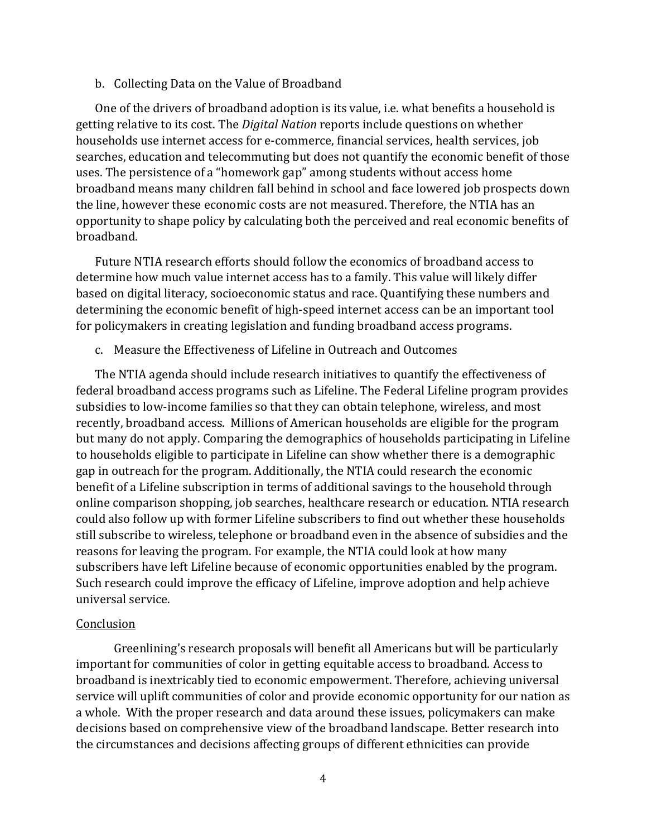#### b. Collecting Data on the Value of Broadband

One of the drivers of broadband adoption is its value, i.e. what benefits a household is getting relative to its cost. The *Digital Nation* reports include questions on whether households use internet access for e-commerce, financial services, health services, job searches, education and telecommuting but does not quantify the economic benefit of those uses. The persistence of a "homework gap" among students without access home broadband means many children fall behind in school and face lowered job prospects down the line, however these economic costs are not measured. Therefore, the NTIA has an opportunity to shape policy by calculating both the perceived and real economic benefits of broadband.

Future NTIA research efforts should follow the economics of broadband access to determine how much value internet access has to a family. This value will likely differ based on digital literacy, socioeconomic status and race. Quantifying these numbers and determining the economic benefit of high-speed internet access can be an important tool for policymakers in creating legislation and funding broadband access programs.

c. Measure the Effectiveness of Lifeline in Outreach and Outcomes

The NTIA agenda should include research initiatives to quantify the effectiveness of federal broadband access programs such as Lifeline. The Federal Lifeline program provides subsidies to low-income families so that they can obtain telephone, wireless, and most recently, broadband access. Millions of American households are eligible for the program but many do not apply. Comparing the demographics of households participating in Lifeline to households eligible to participate in Lifeline can show whether there is a demographic gap in outreach for the program. Additionally, the NTIA could research the economic benefit of a Lifeline subscription in terms of additional savings to the household through online comparison shopping, job searches, healthcare research or education. NTIA research could also follow up with former Lifeline subscribers to find out whether these households still subscribe to wireless, telephone or broadband even in the absence of subsidies and the reasons for leaving the program. For example, the NTIA could look at how many subscribers have left Lifeline because of economic opportunities enabled by the program. Such research could improve the efficacy of Lifeline, improve adoption and help achieve universal service.

#### Conclusion

Greenlining's research proposals will benefit all Americans but will be particularly important for communities of color in getting equitable access to broadband. Access to broadband is inextricably tied to economic empowerment. Therefore, achieving universal service will uplift communities of color and provide economic opportunity for our nation as a whole. With the proper research and data around these issues, policymakers can make decisions based on comprehensive view of the broadband landscape. Better research into the circumstances and decisions affecting groups of different ethnicities can provide